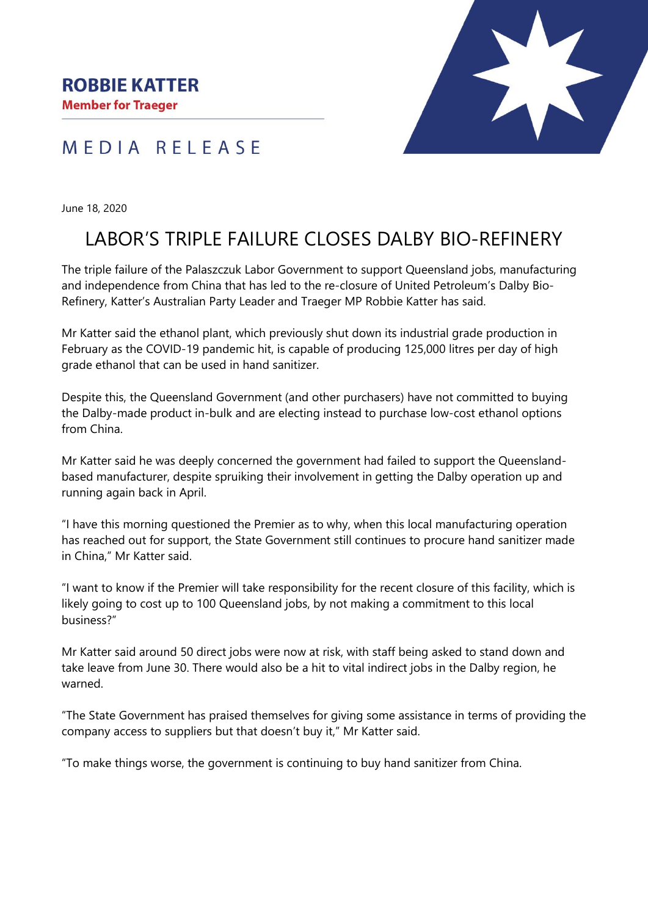

## MEDIA RELEASE

June 18, 2020

## LABOR'S TRIPLE FAILURE CLOSES DALBY BIO-REFINERY

The triple failure of the Palaszczuk Labor Government to support Queensland jobs, manufacturing and independence from China that has led to the re-closure of United Petroleum's Dalby Bio-Refinery, Katter's Australian Party Leader and Traeger MP Robbie Katter has said.

Mr Katter said the ethanol plant, which previously shut down its industrial grade production in February as the COVID-19 pandemic hit, is capable of producing 125,000 litres per day of high grade ethanol that can be used in hand sanitizer.

Despite this, the Queensland Government (and other purchasers) have not committed to buying the Dalby-made product in-bulk and are electing instead to purchase low-cost ethanol options from China.

Mr Katter said he was deeply concerned the government had failed to support the Queenslandbased manufacturer, despite spruiking their involvement in getting the Dalby operation up and running again back in April.

"I have this morning questioned the Premier as to why, when this local manufacturing operation has reached out for support, the State Government still continues to procure hand sanitizer made in China," Mr Katter said.

"I want to know if the Premier will take responsibility for the recent closure of this facility, which is likely going to cost up to 100 Queensland jobs, by not making a commitment to this local business?"

Mr Katter said around 50 direct jobs were now at risk, with staff being asked to stand down and take leave from June 30. There would also be a hit to vital indirect jobs in the Dalby region, he warned.

"The State Government has praised themselves for giving some assistance in terms of providing the company access to suppliers but that doesn't buy it," Mr Katter said.

"To make things worse, the government is continuing to buy hand sanitizer from China.